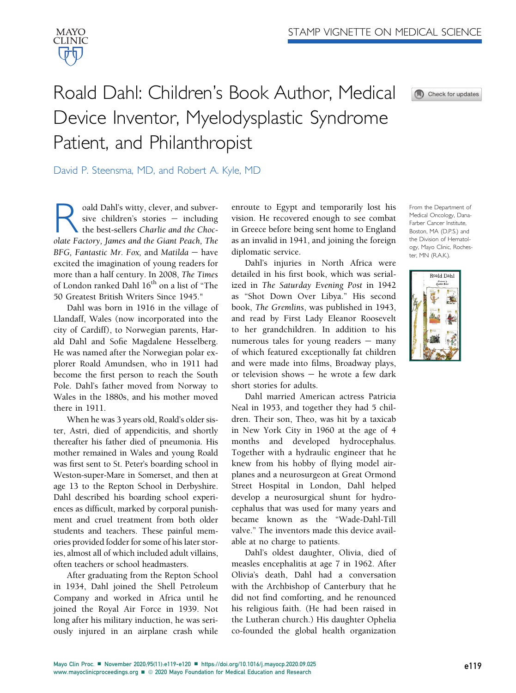

## Roald Dahl: Children's Book Author, Medical Device Inventor, Myelodysplastic Syndrome Patient, and Philanthropist



David P. Steensma, MD, and Robert A. Kyle, MD

**Roald Dahl's witty, clever, and subver-**<br>sive children's stories — including<br>the best-sellers Charlie and the Choc-<br>olate Factory James and the Giant Peach The sive children's stories  $-$  including the best-sellers Charlie and the Chocolate Factory, James and the Giant Peach, The BFG, Fantastic Mr. Fox, and Matilda  $-$  have excited the imagination of young readers for more than a half century. In 2008, The Times of London ranked Dahl 16<sup>th</sup> on a list of "The 50 Greatest British Writers Since 1945."

Dahl was born in 1916 in the village of Llandaff, Wales (now incorporated into the city of Cardiff), to Norwegian parents, Harald Dahl and Sofie Magdalene Hesselberg. He was named after the Norwegian polar explorer Roald Amundsen, who in 1911 had become the first person to reach the South Pole. Dahl's father moved from Norway to Wales in the 1880s, and his mother moved there in 1911.

When he was 3 years old, Roald's older sister, Astri, died of appendicitis, and shortly thereafter his father died of pneumonia. His mother remained in Wales and young Roald was first sent to St. Peter's boarding school in Weston-super-Mare in Somerset, and then at age 13 to the Repton School in Derbyshire. Dahl described his boarding school experiences as difficult, marked by corporal punishment and cruel treatment from both older students and teachers. These painful memories provided fodder for some of his later stories, almost all of which included adult villains, often teachers or school headmasters.

After graduating from the Repton School in 1934, Dahl joined the Shell Petroleum Company and worked in Africa until he joined the Royal Air Force in 1939. Not long after his military induction, he was seriously injured in an airplane crash while

enroute to Egypt and temporarily lost his vision. He recovered enough to see combat in Greece before being sent home to England as an invalid in 1941, and joining the foreign diplomatic service.

Dahl's injuries in North Africa were detailed in his first book, which was serialized in The Saturday Evening Post in 1942 as "Shot Down Over Libya." His second book, The Gremlins, was published in 1943, and read by First Lady Eleanor Roosevelt to her grandchildren. In addition to his numerous tales for young readers  $-$  many of which featured exceptionally fat children and were made into films, Broadway plays, or television shows  $-$  he wrote a few dark short stories for adults.

Dahl married American actress Patricia Neal in 1953, and together they had 5 children. Their son, Theo, was hit by a taxicab in New York City in 1960 at the age of 4 months and developed hydrocephalus. Together with a hydraulic engineer that he knew from his hobby of flying model airplanes and a neurosurgeon at Great Ormond Street Hospital in London, Dahl helped develop a neurosurgical shunt for hydrocephalus that was used for many years and became known as the "Wade-Dahl-Till valve." The inventors made this device available at no charge to patients.

Dahl's oldest daughter, Olivia, died of measles encephalitis at age 7 in 1962. After Olivia's death, Dahl had a conversation with the Archbishop of Canterbury that he did not find comforting, and he renounced his religious faith. (He had been raised in the Lutheran church.) His daughter Ophelia co-founded the global health organization

From the Department of Medical Oncology, Dana-Farber Cancer Institute, Boston, MA (D.P.S.) and the Division of Hematology, Mayo Clinic, Rochester, MN (R.A.K.).